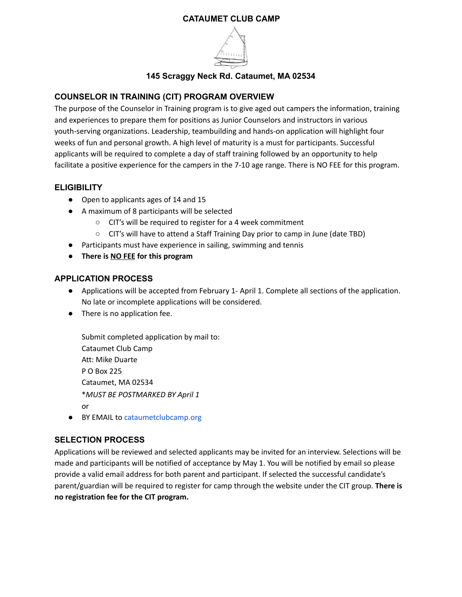### **CATAUMET CLUB CAMP**



### **145 Scraggy Neck Rd. Cataumet, MA 02534**

# **COUNSELOR IN TRAINING (CIT) PROGRAM OVERVIEW**

The purpose of the Counselor in Training program is to give aged out campers the information, training and experiences to prepare them for positions as Junior Counselors and instructors in various youth-serving organizations. Leadership, teambuilding and hands-on application will highlight four weeks of fun and personal growth. A high level of maturity is a must for participants. Successful applicants will be required to complete a day of staff training followed by an opportunity to help facilitate a positive experience for the campers in the 7-10 age range. There is NO FEE for this program.

# **ELIGIBILITY**

- Open to applicants ages of 14 and 15
- A maximum of 8 participants will be selected
	- CIT's will be required to register for a 4 week commitment
	- CIT's will have to attend a Staff Training Day prior to camp in June (date TBD)
- Participants must have experience in sailing, swimming and tennis
- **● There is NO FEE for this program**

### **APPLICATION PROCESS**

- Applications will be accepted from February 1- April 1. Complete all sections of the application. No late or incomplete applications will be considered.
- There is no application fee.

Submit completed application by mail to: Cataumet Club Camp Att: Mike Duarte P O Box 225 Cataumet, MA 02534 \**MUST BE POSTMARKED BY April 1* or

● BY EMAIL to cataumetclubcamp.org

# **SELECTION PROCESS**

Applications will be reviewed and selected applicants may be invited for an interview. Selections will be made and participants will be notified of acceptance by May 1. You will be notified by email so please provide a valid email address for both parent and participant. If selected the successful candidate's parent/guardian will be required to register for camp through the website under the CIT group. **There is no registration fee for the CIT program.**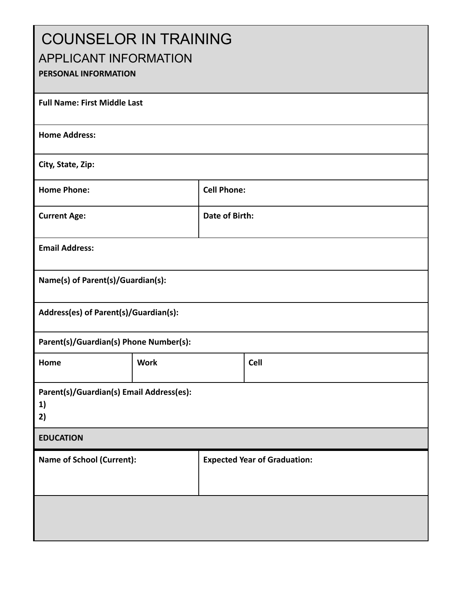| <b>COUNSELOR IN TRAINING</b><br><b>APPLICANT INFORMATION</b><br>PERSONAL INFORMATION |             |                                     |             |  |  |
|--------------------------------------------------------------------------------------|-------------|-------------------------------------|-------------|--|--|
| <b>Full Name: First Middle Last</b>                                                  |             |                                     |             |  |  |
| <b>Home Address:</b>                                                                 |             |                                     |             |  |  |
| City, State, Zip:                                                                    |             |                                     |             |  |  |
| <b>Home Phone:</b>                                                                   |             | <b>Cell Phone:</b>                  |             |  |  |
| <b>Current Age:</b>                                                                  |             | <b>Date of Birth:</b>               |             |  |  |
| <b>Email Address:</b>                                                                |             |                                     |             |  |  |
| Name(s) of Parent(s)/Guardian(s):                                                    |             |                                     |             |  |  |
| Address(es) of Parent(s)/Guardian(s):                                                |             |                                     |             |  |  |
| Parent(s)/Guardian(s) Phone Number(s):                                               |             |                                     |             |  |  |
| Home                                                                                 | <b>Work</b> |                                     | <b>Cell</b> |  |  |
| Parent(s)/Guardian(s) Email Address(es):<br>1)<br>2)                                 |             |                                     |             |  |  |
| <b>EDUCATION</b>                                                                     |             |                                     |             |  |  |
| <b>Name of School (Current):</b>                                                     |             | <b>Expected Year of Graduation:</b> |             |  |  |
|                                                                                      |             |                                     |             |  |  |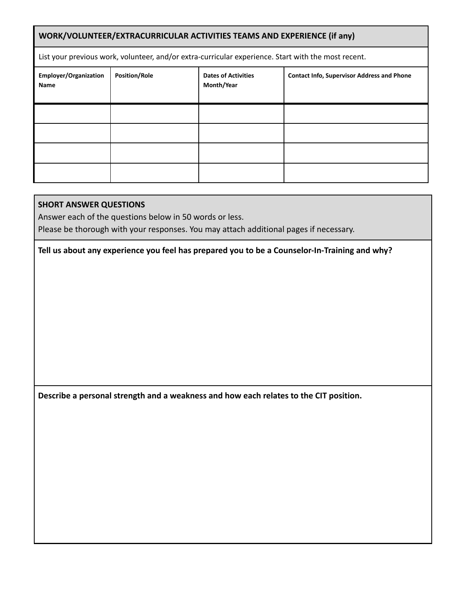| WORK/VOLUNTEER/EXTRACURRICULAR ACTIVITIES TEAMS AND EXPERIENCE (if any)                             |                      |                                          |                                                   |  |  |
|-----------------------------------------------------------------------------------------------------|----------------------|------------------------------------------|---------------------------------------------------|--|--|
| List your previous work, volunteer, and/or extra-curricular experience. Start with the most recent. |                      |                                          |                                                   |  |  |
| <b>Employer/Organization</b><br><b>Name</b>                                                         | <b>Position/Role</b> | <b>Dates of Activities</b><br>Month/Year | <b>Contact Info, Supervisor Address and Phone</b> |  |  |
|                                                                                                     |                      |                                          |                                                   |  |  |
|                                                                                                     |                      |                                          |                                                   |  |  |
|                                                                                                     |                      |                                          |                                                   |  |  |
|                                                                                                     |                      |                                          |                                                   |  |  |

# **SHORT ANSWER QUESTIONS**

Answer each of the questions below in 50 words or less.

Please be thorough with your responses. You may attach additional pages if necessary.

**Tell us about any experience you feel has prepared you to be a Counselor-In-Training and why?**

**Describe a personal strength and a weakness and how each relates to the CIT position.**